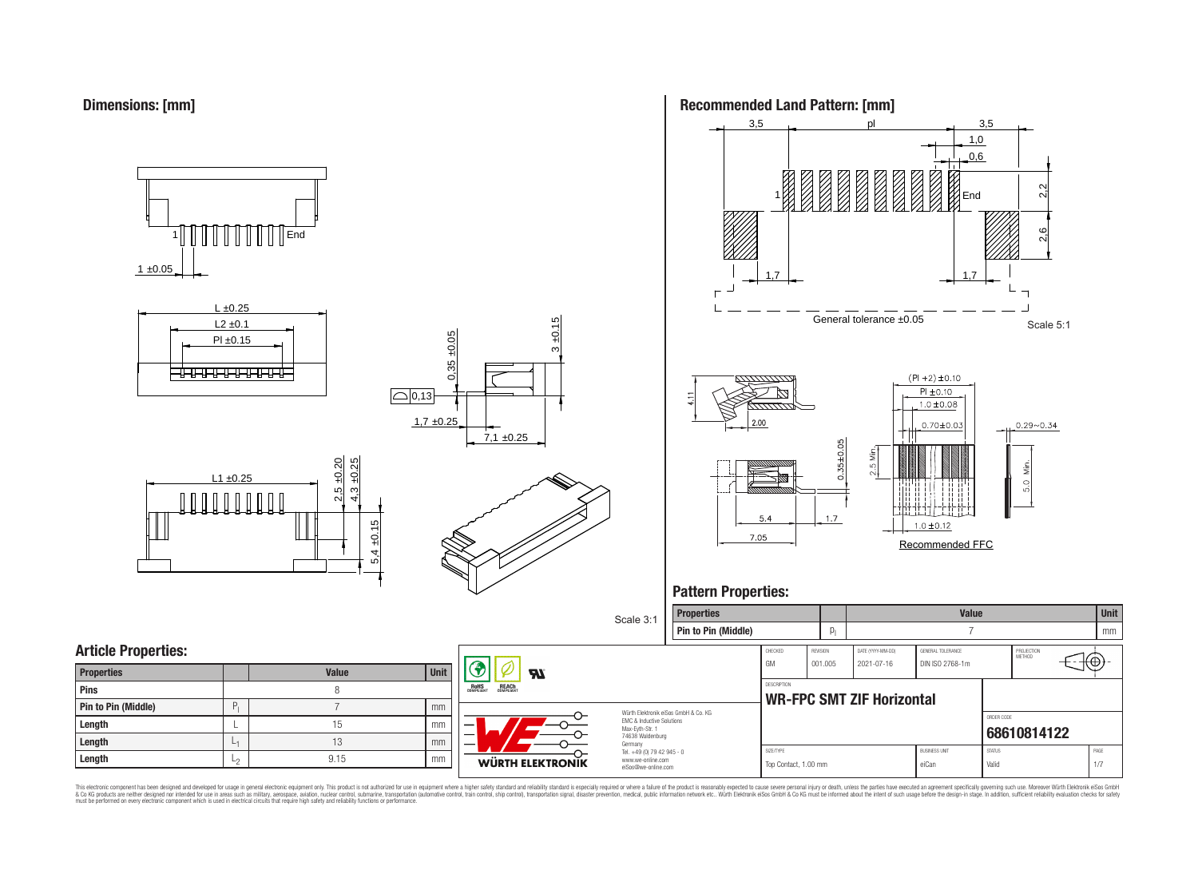















# **Pattern Properties:**



This electronic component has been designed and developed for usage in general electronic equipment only. This product is not authorized for use in equipment where a higher safely standard and reliability standard si espec & Ook product a label and the membed of the seasuch as marked and as which such a membed and the such assume that income in the seasuch and the simulation and the such assume that include to the such a membed and the such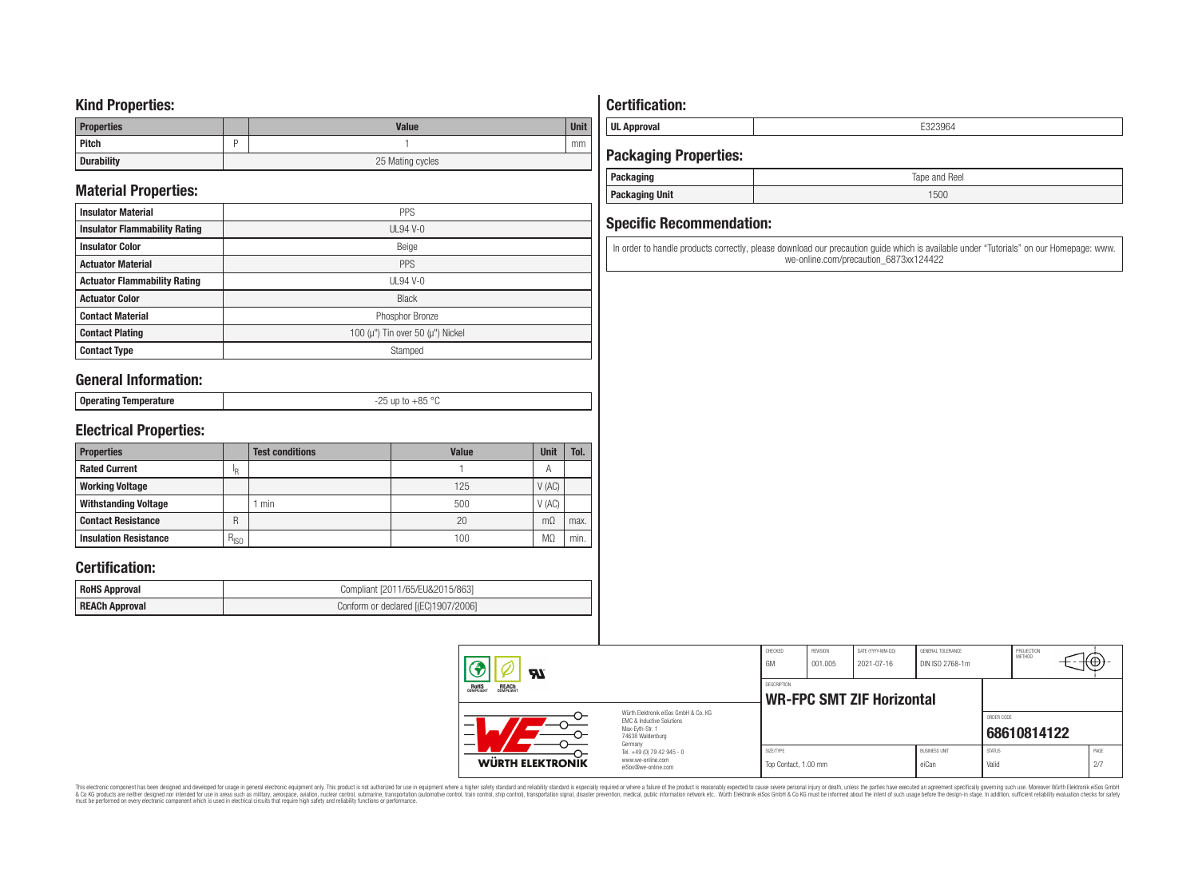### **Kind Properties:**

| <b>Properties</b> |   | <b>Value</b>     | <b>Unit</b> |  |  |
|-------------------|---|------------------|-------------|--|--|
| Pitch             | - |                  | mm          |  |  |
| <b>Durability</b> |   | 25 Mating cycles |             |  |  |

# **Material Properties:**

| <b>Insulator Material</b>            | <b>PPS</b>                                   |
|--------------------------------------|----------------------------------------------|
| <b>Insulator Flammability Rating</b> | $UL94V-0$                                    |
| <b>Insulator Color</b>               | Beige                                        |
| <b>Actuator Material</b>             | PPS                                          |
| <b>Actuator Flammability Rating</b>  | $UL94$ V-0                                   |
| <b>Actuator Color</b>                | <b>Black</b>                                 |
| <b>Contact Material</b>              | Phosphor Bronze                              |
| <b>Contact Plating</b>               | 100 ( $\mu$ ") Tin over 50 ( $\mu$ ") Nickel |
| <b>Contact Type</b>                  | Stamped                                      |

### **General Information:**

| <b>Onera</b><br>ັບບຸບເພເມະສ | $OC$ or<br>$-\circ$ |
|-----------------------------|---------------------|
|                             |                     |

## **Electrical Properties:**

| <b>Properties</b>            |           | <b>Test conditions</b> | <b>Value</b> | <b>Unit</b> | Tol. |
|------------------------------|-----------|------------------------|--------------|-------------|------|
| <b>Rated Current</b>         | ΙR.       |                        |              | А           |      |
| <b>Working Voltage</b>       |           |                        | 125          | V(AC)       |      |
| <b>Withstanding Voltage</b>  |           | min                    | 500          | V(AC)       |      |
| <b>Contact Resistance</b>    | R         |                        | 20           | $m\Omega$   | max. |
| <b>Insulation Resistance</b> | $R_{ISO}$ |                        | 100          | MΩ          | min. |

### **Certification:**

| <b>RoHS Approval</b>  | Compliant [2011/65/EU&2015/863]     |
|-----------------------|-------------------------------------|
| <b>REACh Approval</b> | Conform or declared [(EC)1907/2006] |

# **Certification:**

**UL Approval** E323964

# **Packaging Properties:**

| Packaging             | Tape and Reel |
|-----------------------|---------------|
| <b>Packaging Unit</b> | 1500          |

### **Specific Recommendation:**

In order to handle products correctly, please download our precaution guide which is available under "Tutorials" on our Homepage: www. we-online.com/precaution\_6873xx124422

| Яľ                                                                                                            |                                                                                   | CHECKED<br>GM                                   | REVISION<br>001.005 | DATE (YYYY-MM-DD)<br>2021-07-16 | GENERAL TOLERANCE<br>DIN ISO 2768-1m |                        | PROJECTION<br><b>METHOD</b> | ᠩ᠊ᡦᡃ |             |
|---------------------------------------------------------------------------------------------------------------|-----------------------------------------------------------------------------------|-------------------------------------------------|---------------------|---------------------------------|--------------------------------------|------------------------|-----------------------------|------|-------------|
| ROHS<br>COMPLIANT<br><b>REACH</b><br>COMPLIANT                                                                |                                                                                   | DESCRIPTION<br><b>WR-FPC SMT ZIF Horizontal</b> |                     |                                 |                                      |                        |                             |      |             |
| Würth Elektronik eiSos GmbH & Co. KG<br>EMC & Inductive Solutions<br>–<br>Max-Evth-Str. 1<br>74638 Waldenburg |                                                                                   |                                                 |                     |                                 |                                      | ORDER CODE             | 68610814122                 |      |             |
| WÜRTH ELEKTRONIK                                                                                              | Germany<br>Tel. +49 (0) 79 42 945 - 0<br>www.we-online.com<br>eiSos@we-online.com | SIZE/TYPE<br>Top Contact, 1.00 mm               |                     |                                 | <b>BUSINESS UNIT</b><br>eiCan        | <b>STATUS</b><br>Valid |                             |      | PAGE<br>2/7 |

This electronic component has been designed and developed for usage in general electronic equipment only. This product is not authorized for subserved requipment where a higher selection equipment where a higher selection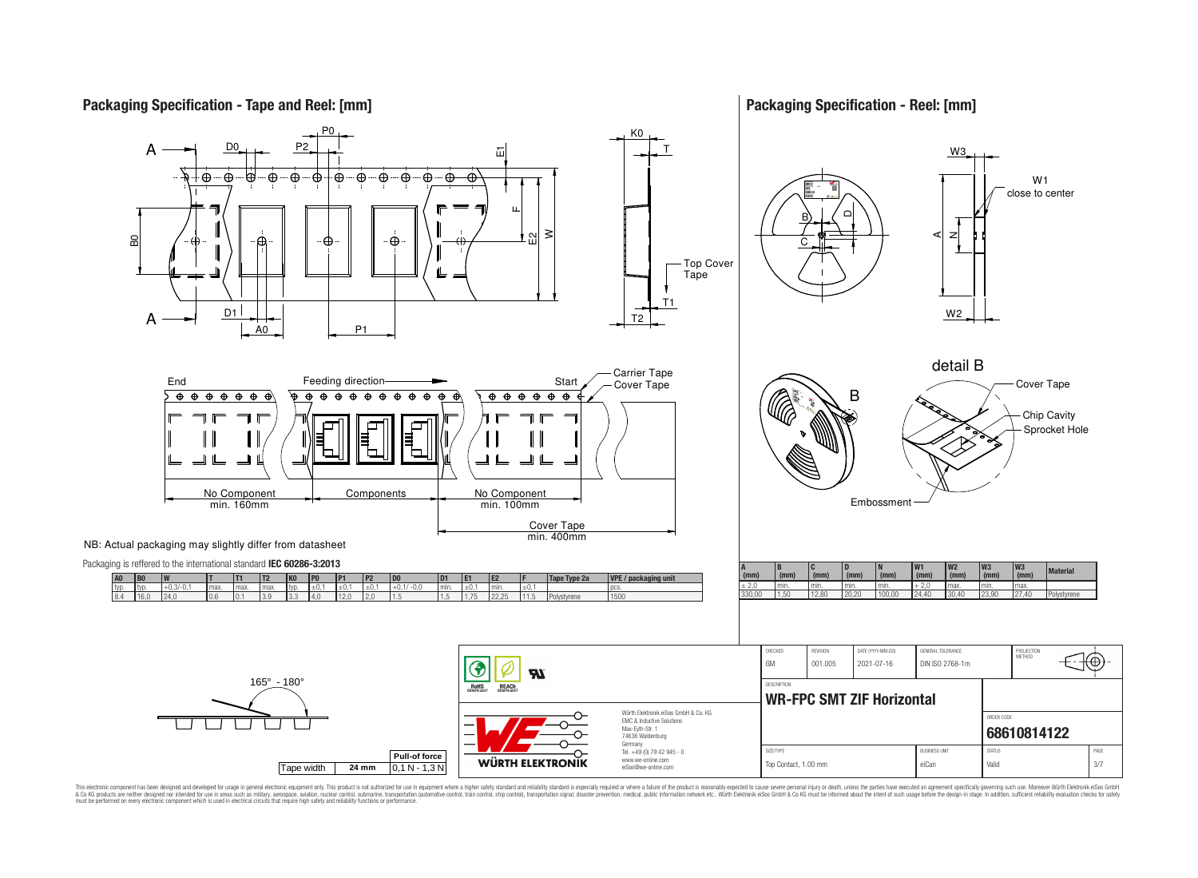

**Packaging Specification - Reel: [mm]**



This electronic component has been designed and developed for usage in general electronic equipment only. This product is not authorized for use in equipment where a higher safely standard and reliability standard si espec & Ook product a label and the membed of the seasuch as marked and as which such a membed and the such assume that income in the seasuch and the simulation and the such assume that include to the such a membed and the such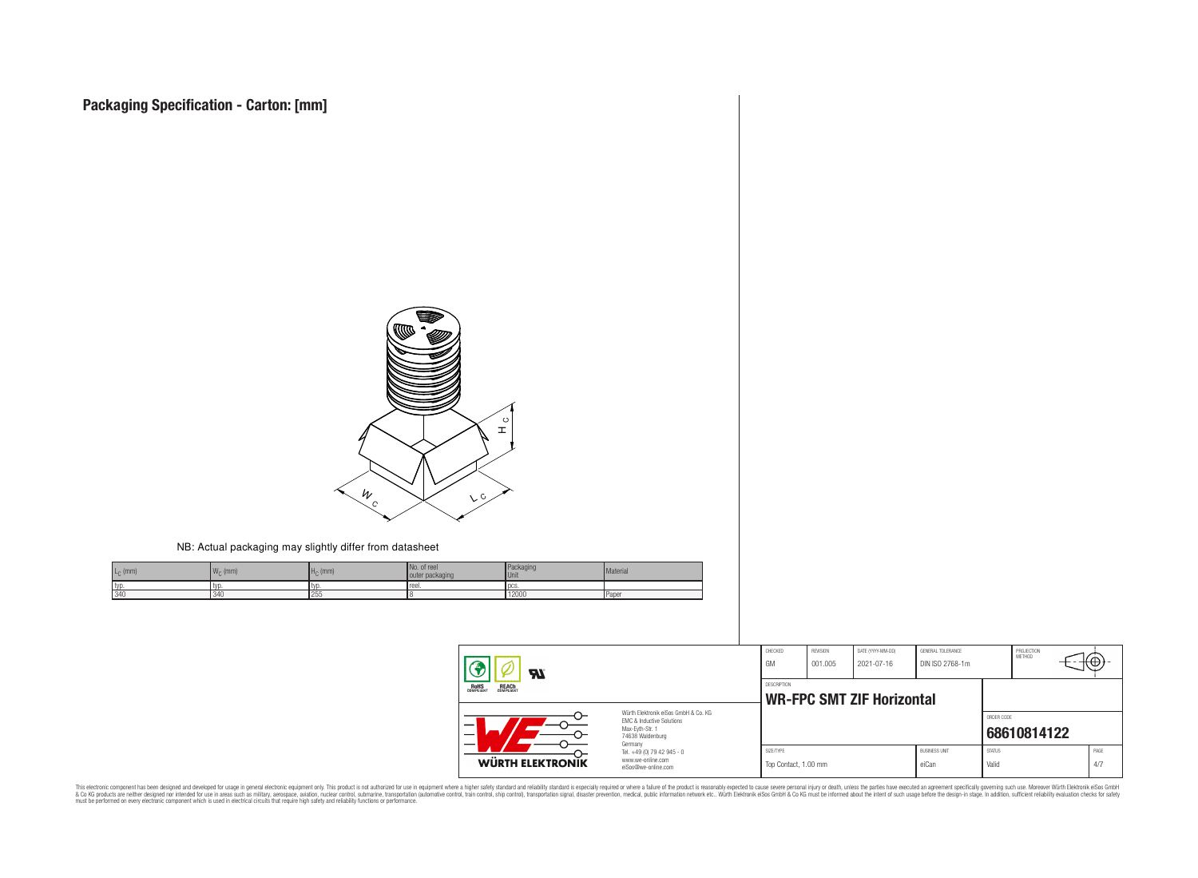

#### NB: Actual packaging may slightly differ from datasheet

| $L_{\rm C}$ (mm) | ANF<br>$W_{\cap}$ (mm) | $HC$ (mm) | No. of reel<br>outer packaging | Packaging<br>Unit | Material |
|------------------|------------------------|-----------|--------------------------------|-------------------|----------|
| typ              | I TVI                  | l tyr     | reel.                          | <b>TDCS</b>       |          |
| 340              | 340                    | 255       |                                | 12000             | Paper    |

| Яī<br><b>ROHS</b><br>COMPLIANT<br><b>REACH</b><br>COMPLIANT<br>Würth Elektronik eiSos GmbH & Co. KG<br>FMC & Inductive Solutions<br>Max-Eyth-Str. 1<br>74638 Waldenburg<br>Germany |                                                                        | CHECKED<br>GM                                   | REVISION<br>001.005 | DATE (YYYY-MM-DD)<br>2021-07-16 | GENERAL TOLERANCE<br>DIN ISO 2768-1m |                        | PROJECTION<br>METHOD | τΨ |             |
|------------------------------------------------------------------------------------------------------------------------------------------------------------------------------------|------------------------------------------------------------------------|-------------------------------------------------|---------------------|---------------------------------|--------------------------------------|------------------------|----------------------|----|-------------|
|                                                                                                                                                                                    |                                                                        | DESCRIPTION<br><b>WR-FPC SMT ZIF Horizontal</b> |                     |                                 |                                      |                        |                      |    |             |
|                                                                                                                                                                                    |                                                                        |                                                 |                     |                                 |                                      | ORDER CODE             | 68610814122          |    |             |
| WÜRTH ELEKTRONIK                                                                                                                                                                   | Tel. +49 (0) 79 42 945 - 0<br>www.we-online.com<br>eiSos@we-online.com | SIZE/TYPE<br>Top Contact, 1.00 mm               |                     |                                 | <b>BUSINESS UNIT</b><br>eiCan        | <b>STATUS</b><br>Valid |                      |    | PAGE<br>4/7 |

This electronic component has been designed and developed for usage in general electronic equipment only. This product is not authorized for subserved requipment where a higher selection equipment where a higher selection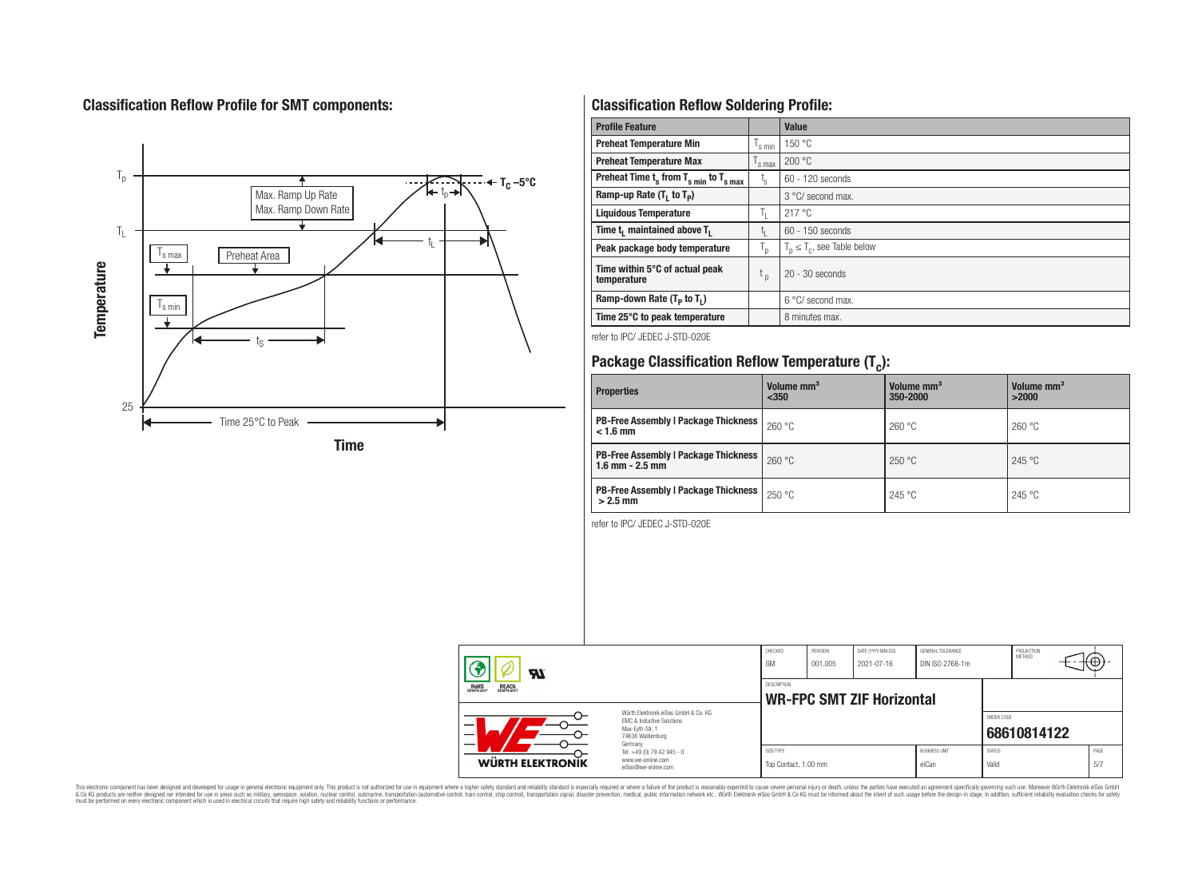# **Classification Reflow Profile for SMT components:**



# **Classification Reflow Soldering Profile:**

| <b>Profile Feature</b>                              |                               | Value                            |
|-----------------------------------------------------|-------------------------------|----------------------------------|
| <b>Preheat Temperature Min</b>                      | 's min                        | 150 °C                           |
| <b>Preheat Temperature Max</b>                      | $\frac{1}{s}$ max             | 200 °C                           |
| Preheat Time $t_s$ from $T_{s min}$ to $T_{s max}$  | t,                            | 60 - 120 seconds                 |
| Ramp-up Rate $(T_1$ to $T_p$ )                      |                               | 3 °C/ second max.                |
| <b>Liquidous Temperature</b>                        | ъ.                            | 217 °C                           |
| Time t <sub>i</sub> maintained above T <sub>1</sub> | t,                            | $60 - 150$ seconds               |
| Peak package body temperature                       | T <sub>o</sub>                | $T_p \leq T_c$ , see Table below |
| Time within 5°C of actual peak<br>temperature       | $\mathfrak{t}_{\mathfrak{p}}$ | $20 - 30$ seconds                |
| Ramp-down Rate $(T_p$ to $T_1$ )                    |                               | $6^{\circ}$ C/ second max.       |
| Time 25°C to peak temperature                       |                               | 8 minutes max.                   |

refer to IPC/ JEDEC J-STD-020E

# **Package Classification Reflow Temperature (T<sup>c</sup> ):**

| <b>Properties</b>                                                    | Volume mm <sup>3</sup><br>$350$ | Volume mm <sup>3</sup><br>350-2000 | Volume mm <sup>3</sup><br>>2000 |  |
|----------------------------------------------------------------------|---------------------------------|------------------------------------|---------------------------------|--|
| <b>PB-Free Assembly   Package Thickness</b><br>$< 1.6$ mm            | 260 °C                          | 260 °C                             | 260 °C                          |  |
| <b>PB-Free Assembly   Package Thickness  </b><br>$1.6$ mm $- 2.5$ mm | 260 °C                          | 250 °C                             | 245 °C                          |  |
| <b>PB-Free Assembly   Package Thickness  </b><br>$>2.5$ mm           | 250 °C                          | 245 °C                             | 245 °C                          |  |

refer to IPC/ JEDEC J-STD-020E

| Яī                                                                                                                  |                                                                        | CHECKED<br>GM                     | REVISION<br>001.005 | DATE (YYYY-MM-DD)<br>2021-07-16  | GENERAL TOLERANCE<br>DIN ISO 2768-1m |                        | PROJECTION<br><b>METHOD</b> |             |
|---------------------------------------------------------------------------------------------------------------------|------------------------------------------------------------------------|-----------------------------------|---------------------|----------------------------------|--------------------------------------|------------------------|-----------------------------|-------------|
| ROHS<br>COMPLIANT<br><b>REACH</b><br>COMPLIANT                                                                      |                                                                        | <b>DESCRIPTION</b>                |                     | <b>WR-FPC SMT ZIF Horizontal</b> |                                      |                        |                             |             |
| Würth Elektronik eiSos GmbH & Co. KG<br>EMC & Inductive Solutions<br>Max-Evth-Str. 1<br>74638 Waldenburg<br>Germany |                                                                        |                                   |                     |                                  |                                      | ORDER CODE             | 68610814122                 |             |
| WÜRTH ELEKTRONIK                                                                                                    | Tel. +49 (0) 79 42 945 - 0<br>www.we-online.com<br>eiSos@we-online.com | SIZE/TYPE<br>Top Contact, 1.00 mm |                     |                                  | <b>BUSINESS UNIT</b><br>eiCan        | <b>STATUS</b><br>Valid |                             | PAGE<br>5/7 |

This electronic component has been designed and developed for usage in general electronic equipment only. This product is not authorized for subserved requipment where a higher selection equipment where a higher selection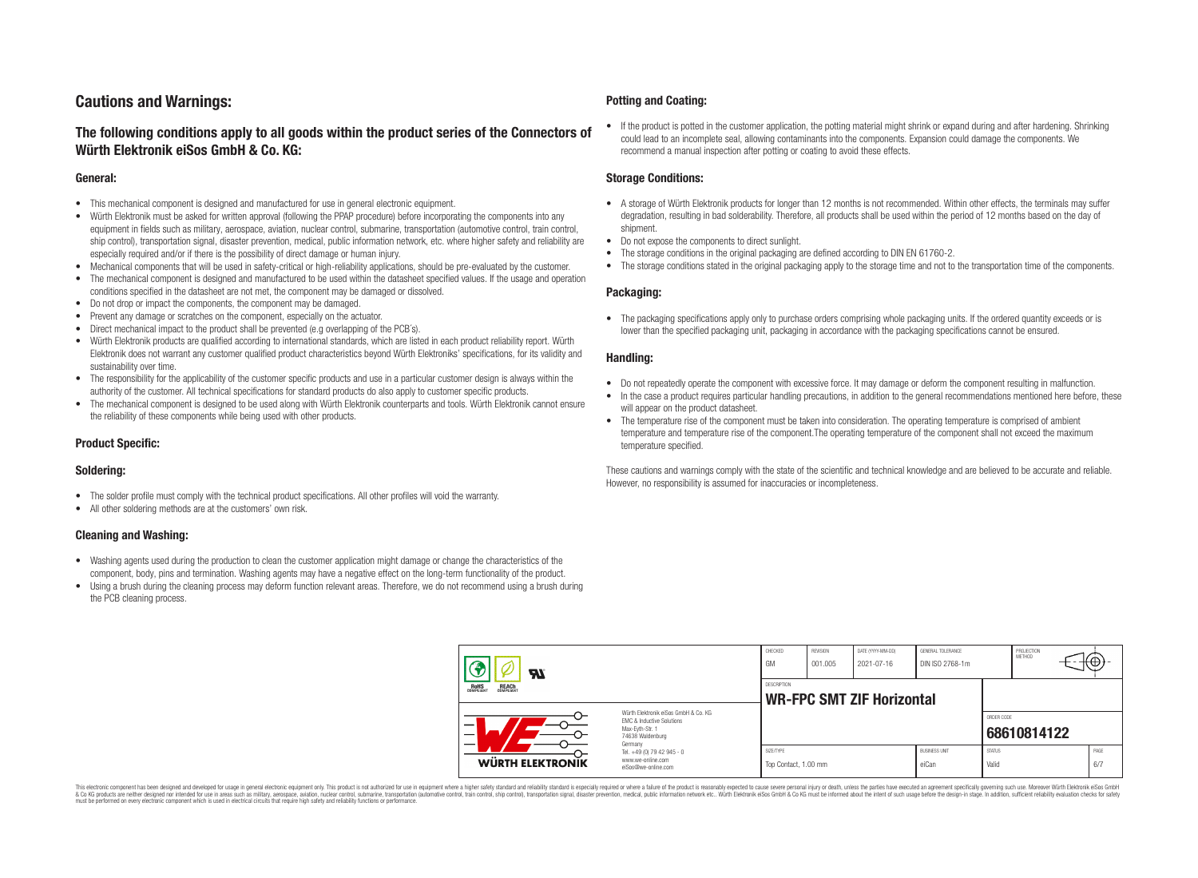# **Cautions and Warnings:**

### **The following conditions apply to all goods within the product series of the Connectors of Würth Elektronik eiSos GmbH & Co. KG:**

#### **General:**

- This mechanical component is designed and manufactured for use in general electronic equipment.
- Würth Elektronik must be asked for written approval (following the PPAP procedure) before incorporating the components into any equipment in fields such as military, aerospace, aviation, nuclear control, submarine, transportation (automotive control, train control, ship control), transportation signal, disaster prevention, medical, public information network, etc. where higher safety and reliability are especially required and/or if there is the possibility of direct damage or human injury.
- Mechanical components that will be used in safety-critical or high-reliability applications, should be pre-evaluated by the customer.
- The mechanical component is designed and manufactured to be used within the datasheet specified values. If the usage and operation conditions specified in the datasheet are not met, the component may be damaged or dissolved.
- Do not drop or impact the components, the component may be damaged.
- Prevent any damage or scratches on the component, especially on the actuator.
- Direct mechanical impact to the product shall be prevented (e.g overlapping of the PCB's).
- Würth Elektronik products are qualified according to international standards, which are listed in each product reliability report. Würth Elektronik does not warrant any customer qualified product characteristics beyond Würth Elektroniks' specifications, for its validity and sustainability over time.
- The responsibility for the applicability of the customer specific products and use in a particular customer design is always within the authority of the customer. All technical specifications for standard products do also apply to customer specific products.
- The mechanical component is designed to be used along with Würth Elektronik counterparts and tools. Würth Elektronik cannot ensure the reliability of these components while being used with other products.

#### **Product Specific:**

#### **Soldering:**

- The solder profile must comply with the technical product specifications. All other profiles will void the warranty.
- All other soldering methods are at the customers' own risk.

#### **Cleaning and Washing:**

- Washing agents used during the production to clean the customer application might damage or change the characteristics of the component, body, pins and termination. Washing agents may have a negative effect on the long-term functionality of the product.
- Using a brush during the cleaning process may deform function relevant areas. Therefore, we do not recommend using a brush during the PCB cleaning process.

#### **Potting and Coating:**

• If the product is potted in the customer application, the potting material might shrink or expand during and after hardening. Shrinking could lead to an incomplete seal, allowing contaminants into the components. Expansion could damage the components. We recommend a manual inspection after potting or coating to avoid these effects.

#### **Storage Conditions:**

- A storage of Würth Elektronik products for longer than 12 months is not recommended. Within other effects, the terminals may suffer degradation, resulting in bad solderability. Therefore, all products shall be used within the period of 12 months based on the day of shipment.
- Do not expose the components to direct sunlight.
- The storage conditions in the original packaging are defined according to DIN EN 61760-2.
- The storage conditions stated in the original packaging apply to the storage time and not to the transportation time of the components.

#### **Packaging:**

• The packaging specifications apply only to purchase orders comprising whole packaging units. If the ordered quantity exceeds or is lower than the specified packaging unit, packaging in accordance with the packaging specifications cannot be ensured.

#### **Handling:**

- Do not repeatedly operate the component with excessive force. It may damage or deform the component resulting in malfunction.
- In the case a product requires particular handling precautions, in addition to the general recommendations mentioned here before, these will appear on the product datasheet
- The temperature rise of the component must be taken into consideration. The operating temperature is comprised of ambient temperature and temperature rise of the component.The operating temperature of the component shall not exceed the maximum temperature specified.

These cautions and warnings comply with the state of the scientific and technical knowledge and are believed to be accurate and reliable. However, no responsibility is assumed for inaccuracies or incompleteness.

| $\boldsymbol{H}$<br>ROHS<br>COMPLIANT<br><b>REACH</b><br>COMPLIANT<br>Würth Elektronik eiSos GmbH & Co. KG<br>EMC & Inductive Solutions<br>_<br>Max-Eyth-Str. 1<br>74638 Waldenburg<br>Germany |                                                                        | CHECKED<br>GM                                          | REVISION<br>001.005 | DATE (YYYY-MM-DD)<br>2021-07-16 | GENERAL TOLERANCE<br>DIN ISO 2768-1m |                        | PROJECTION<br>METHOD      |  | ι₩          |
|------------------------------------------------------------------------------------------------------------------------------------------------------------------------------------------------|------------------------------------------------------------------------|--------------------------------------------------------|---------------------|---------------------------------|--------------------------------------|------------------------|---------------------------|--|-------------|
|                                                                                                                                                                                                |                                                                        | <b>DESCRIPTION</b><br><b>WR-FPC SMT ZIF Horizontal</b> |                     |                                 |                                      |                        |                           |  |             |
|                                                                                                                                                                                                |                                                                        |                                                        |                     |                                 |                                      |                        | ORDER CODE<br>68610814122 |  |             |
| WÜRTH ELEKTRONIK                                                                                                                                                                               | Tel. +49 (0) 79 42 945 - 0<br>www.we-online.com<br>eiSos@we-online.com | SIZE/TYPE<br>Top Contact, 1.00 mm                      |                     |                                 | <b>BUSINESS UNIT</b><br>eiCan        | <b>STATUS</b><br>Valid |                           |  | PAGE<br>6/7 |

This electronic component has been designed and developed for usage in general electronic equipment only. This product is not authorized for use in equipment where a higher safety standard and reliability standard si espec & Ook product a label and the membed of the seasuch as marked and as which such a membed and the such assume that income in the seasuch and the simulation and the such assume that include to the such a membed and the such